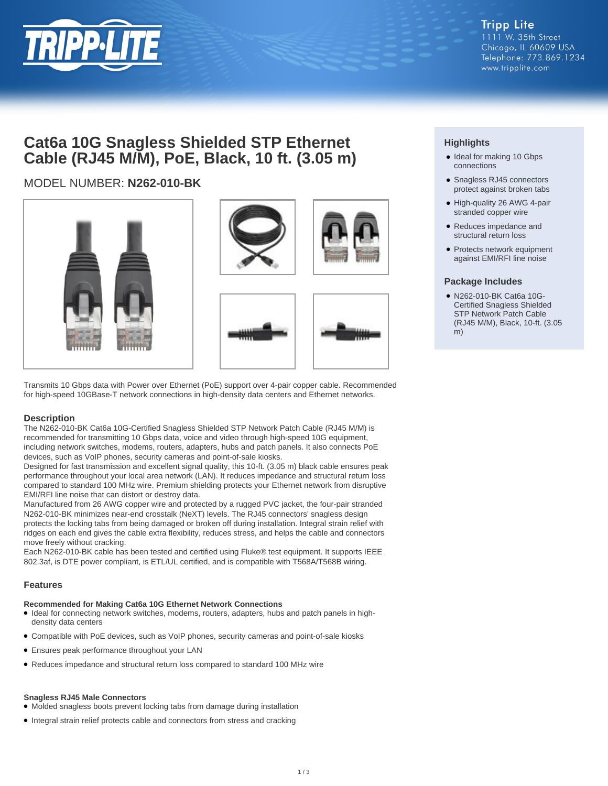

## **Cat6a 10G Snagless Shielded STP Ethernet Cable (RJ45 M/M), PoE, Black, 10 ft. (3.05 m)**

## MODEL NUMBER: **N262-010-BK**



Transmits 10 Gbps data with Power over Ethernet (PoE) support over 4-pair copper cable. Recommended for high-speed 10GBase-T network connections in high-density data centers and Ethernet networks.

## **Description**

The N262-010-BK Cat6a 10G-Certified Snagless Shielded STP Network Patch Cable (RJ45 M/M) is recommended for transmitting 10 Gbps data, voice and video through high-speed 10G equipment, including network switches, modems, routers, adapters, hubs and patch panels. It also connects PoE devices, such as VoIP phones, security cameras and point-of-sale kiosks.

Designed for fast transmission and excellent signal quality, this 10-ft. (3.05 m) black cable ensures peak performance throughout your local area network (LAN). It reduces impedance and structural return loss compared to standard 100 MHz wire. Premium shielding protects your Ethernet network from disruptive EMI/RFI line noise that can distort or destroy data.

Manufactured from 26 AWG copper wire and protected by a rugged PVC jacket, the four-pair stranded N262-010-BK minimizes near-end crosstalk (NeXT) levels. The RJ45 connectors' snagless design protects the locking tabs from being damaged or broken off during installation. Integral strain relief with ridges on each end gives the cable extra flexibility, reduces stress, and helps the cable and connectors move freely without cracking.

Each N262-010-BK cable has been tested and certified using Fluke® test equipment. It supports IEEE 802.3af, is DTE power compliant, is ETL/UL certified, and is compatible with T568A/T568B wiring.

## **Features**

#### **Recommended for Making Cat6a 10G Ethernet Network Connections**

- Ideal for connecting network switches, modems, routers, adapters, hubs and patch panels in highdensity data centers
- Compatible with PoE devices, such as VoIP phones, security cameras and point-of-sale kiosks
- Ensures peak performance throughout your LAN
- Reduces impedance and structural return loss compared to standard 100 MHz wire

#### **Snagless RJ45 Male Connectors**

- Molded snagless boots prevent locking tabs from damage during installation
- Integral strain relief protects cable and connectors from stress and cracking

## **Highlights**

- Ideal for making 10 Gbps connections
- Snagless RJ45 connectors protect against broken tabs
- High-quality 26 AWG 4-pair stranded copper wire
- Reduces impedance and structural return loss
- Protects network equipment against EMI/RFI line noise

## **Package Includes**

N262-010-BK Cat6a 10G-● Certified Snagless Shielded STP Network Patch Cable (RJ45 M/M), Black, 10-ft. (3.05 m)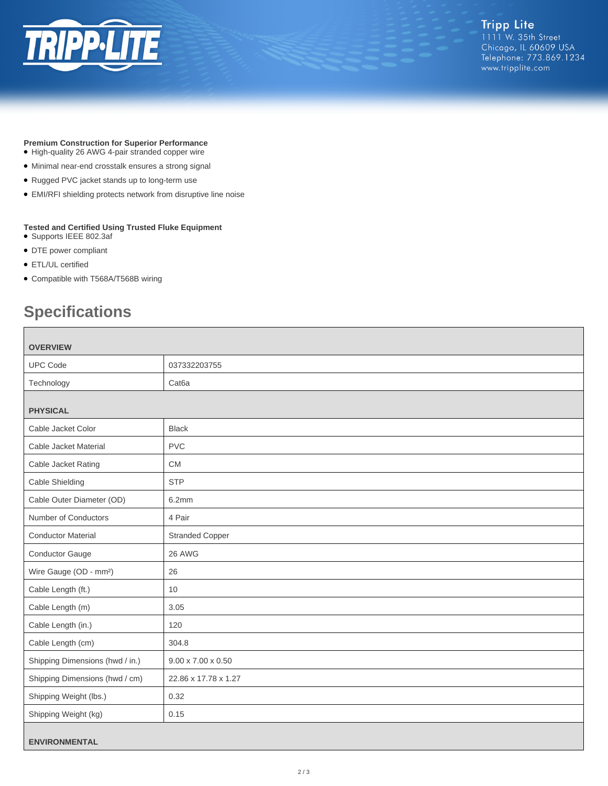

## **Premium Construction for Superior Performance**

- High-quality 26 AWG 4-pair stranded copper wire
- Minimal near-end crosstalk ensures a strong signal
- Rugged PVC jacket stands up to long-term use
- EMI/RFI shielding protects network from disruptive line noise

#### **Tested and Certified Using Trusted Fluke Equipment**

- Supports IEEE 802.3af
- DTE power compliant
- ETL/UL certified
- Compatible with T568A/T568B wiring

# **Specifications**

| <b>OVERVIEW</b>                    |                                |  |
|------------------------------------|--------------------------------|--|
| <b>UPC Code</b>                    | 037332203755                   |  |
| Technology                         | Cat <sub>6</sub> a             |  |
| <b>PHYSICAL</b>                    |                                |  |
| Cable Jacket Color                 | <b>Black</b>                   |  |
| Cable Jacket Material              | <b>PVC</b>                     |  |
| Cable Jacket Rating                | <b>CM</b>                      |  |
| Cable Shielding                    | <b>STP</b>                     |  |
| Cable Outer Diameter (OD)          | 6.2mm                          |  |
| Number of Conductors               | 4 Pair                         |  |
| <b>Conductor Material</b>          | <b>Stranded Copper</b>         |  |
| <b>Conductor Gauge</b>             | 26 AWG                         |  |
| Wire Gauge (OD - mm <sup>2</sup> ) | 26                             |  |
| Cable Length (ft.)                 | 10                             |  |
| Cable Length (m)                   | 3.05                           |  |
| Cable Length (in.)                 | 120                            |  |
| Cable Length (cm)                  | 304.8                          |  |
| Shipping Dimensions (hwd / in.)    | $9.00 \times 7.00 \times 0.50$ |  |
| Shipping Dimensions (hwd / cm)     | 22.86 x 17.78 x 1.27           |  |
| Shipping Weight (lbs.)             | 0.32                           |  |
| Shipping Weight (kg)               | 0.15                           |  |
| <b>ENVIRONMENTAL</b>               |                                |  |